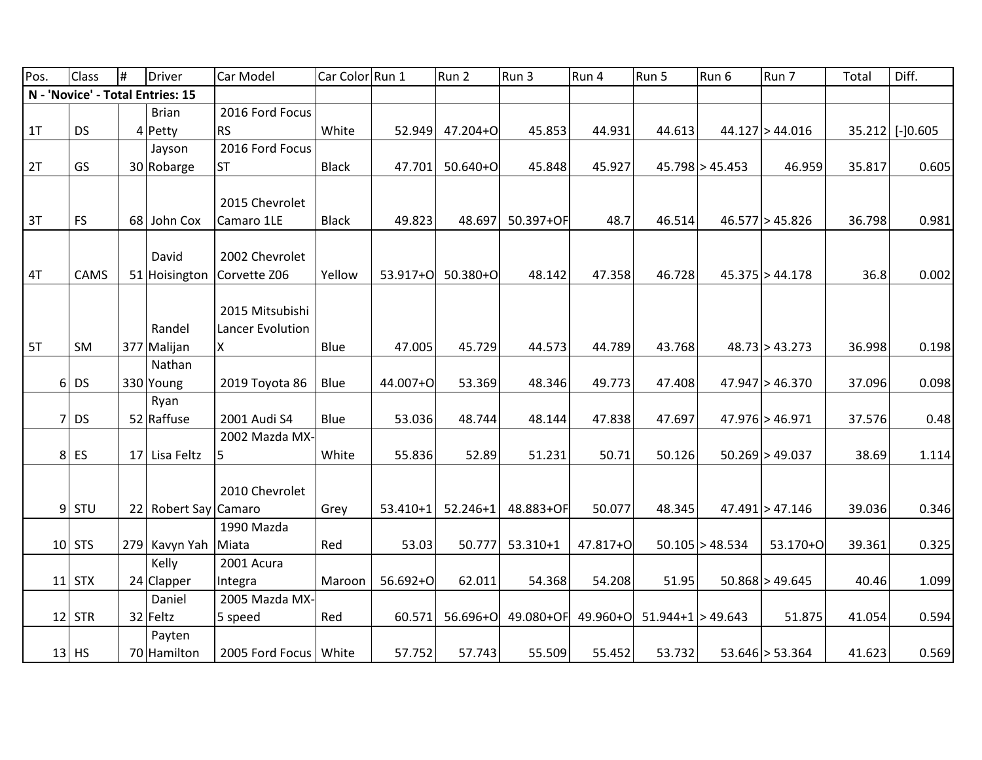| Pos. | <b>Class</b> | # | <b>Driver</b>                    | Car Model               | Car Color Run 1 |            | Run 2        | Run 3        | Run 4    | Run 5                 | Run 6             | Run 7               | Total  | Diff.           |
|------|--------------|---|----------------------------------|-------------------------|-----------------|------------|--------------|--------------|----------|-----------------------|-------------------|---------------------|--------|-----------------|
|      |              |   | N - 'Novice' - Total Entries: 15 |                         |                 |            |              |              |          |                       |                   |                     |        |                 |
|      |              |   | <b>Brian</b>                     | 2016 Ford Focus         |                 |            |              |              |          |                       |                   |                     |        |                 |
| 1T   | <b>DS</b>    |   | 4 Petty                          | <b>RS</b>               | White           | 52.949     | 47.204+O     | 45.853       | 44.931   | 44.613                |                   | $44.127$ > 44.016   |        | 35.212 [-]0.605 |
|      |              |   | Jayson                           | 2016 Ford Focus         |                 |            |              |              |          |                       |                   |                     |        |                 |
| 2T   | GS           |   | 30 Robarge                       | <b>ST</b>               | <b>Black</b>    | 47.701     | $50.640+O$   | 45.848       | 45.927   |                       | 45.798 > 45.453   | 46.959              | 35.817 | 0.605           |
|      |              |   |                                  |                         |                 |            |              |              |          |                       |                   |                     |        |                 |
|      |              |   |                                  | 2015 Chevrolet          |                 |            |              |              |          |                       |                   |                     |        |                 |
| 3T   | <b>FS</b>    |   | 68 John Cox                      | Camaro 1LE              | <b>Black</b>    | 49.823     | 48.697       | 50.397+OF    | 48.7     | 46.514                |                   | 46.577 > 45.826     | 36.798 | 0.981           |
|      |              |   |                                  |                         |                 |            |              |              |          |                       |                   |                     |        |                 |
|      |              |   | David                            | 2002 Chevrolet          |                 |            |              |              |          |                       |                   |                     |        |                 |
| 4T   | CAMS         |   | 51 Hoisington                    | Corvette Z06            | Yellow          | 53.917+0   | $50.380 + O$ | 48.142       | 47.358   | 46.728                |                   | $45.375$ > 44.178   | 36.8   | 0.002           |
|      |              |   |                                  |                         |                 |            |              |              |          |                       |                   |                     |        |                 |
|      |              |   |                                  | 2015 Mitsubishi         |                 |            |              |              |          |                       |                   |                     |        |                 |
|      |              |   | Randel                           | Lancer Evolution        |                 |            |              |              |          |                       |                   |                     |        |                 |
| 5T   | SM           |   | 377 Malijan                      | X                       | Blue            | 47.005     | 45.729       | 44.573       | 44.789   | 43.768                |                   | 48.73 > 43.273      | 36.998 | 0.198           |
|      |              |   | Nathan                           |                         |                 |            |              |              |          |                       |                   |                     |        |                 |
|      | $6$ DS       |   | 330 Young                        | 2019 Toyota 86          | Blue            | 44.007+O   | 53.369       | 48.346       | 49.773   | 47.408                |                   | 47.947 > 46.370     | 37.096 | 0.098           |
|      |              |   | Ryan                             |                         |                 |            |              |              |          |                       |                   |                     |        |                 |
|      | $7$ DS       |   | 52 Raffuse                       | 2001 Audi S4            | Blue            | 53.036     | 48.744       | 48.144       | 47.838   | 47.697                |                   | 47.976 > 46.971     | 37.576 | 0.48            |
|      |              |   |                                  | 2002 Mazda MX-          |                 |            |              |              |          |                       |                   |                     |        |                 |
|      | $8$ ES       |   | 17 Lisa Feltz                    | 5                       | White           | 55.836     | 52.89        | 51.231       | 50.71    | 50.126                |                   | $50.269$ > 49.037   | 38.69  | 1.114           |
|      |              |   |                                  |                         |                 |            |              |              |          |                       |                   |                     |        |                 |
|      |              |   |                                  | 2010 Chevrolet          |                 |            |              |              |          |                       |                   |                     |        |                 |
|      | $9$ STU      |   | 22 Robert Say Camaro             |                         | Grey            | $53.410+1$ | $52.246+1$   | 48.883+OF    | 50.077   | 48.345                |                   | $47.491 \ge 47.146$ | 39.036 | 0.346           |
|      |              |   |                                  | 1990 Mazda              |                 |            |              |              |          |                       |                   |                     |        |                 |
|      | $10$ STS     |   | 279 Kavyn Yah                    | Miata                   | Red             | 53.03      | 50.777       | $53.310 + 1$ | 47.817+O |                       | $50.105$ > 48.534 | 53.170+O            | 39.361 | 0.325           |
|      |              |   | Kelly                            | 2001 Acura              |                 |            |              |              |          |                       |                   |                     |        |                 |
|      | $11$ STX     |   | $24$ Clapper                     | Integra                 | Maroon          | 56.692+0   | 62.011       | 54.368       | 54.208   | 51.95                 |                   | 50.868 > 49.645     | 40.46  | 1.099           |
|      |              |   | Daniel                           | 2005 Mazda MX-          |                 |            |              |              |          |                       |                   |                     |        |                 |
|      | $12$ STR     |   | 32 Feltz                         | $5$ speed               | Red             | 60.571     | 56.696+O     | 49.080+OF    | 49.960+O | $51.944+1 \ge 49.643$ |                   | 51.875              | 41.054 | 0.594           |
|      |              |   | Payten                           |                         |                 |            |              |              |          |                       |                   |                     |        |                 |
|      | $13$ HS      |   | 70 Hamilton                      | 2005 Ford Focus   White |                 | 57.752     | 57.743       | 55.509       | 55.452   | 53.732                |                   | $53.646$ > 53.364   | 41.623 | 0.569           |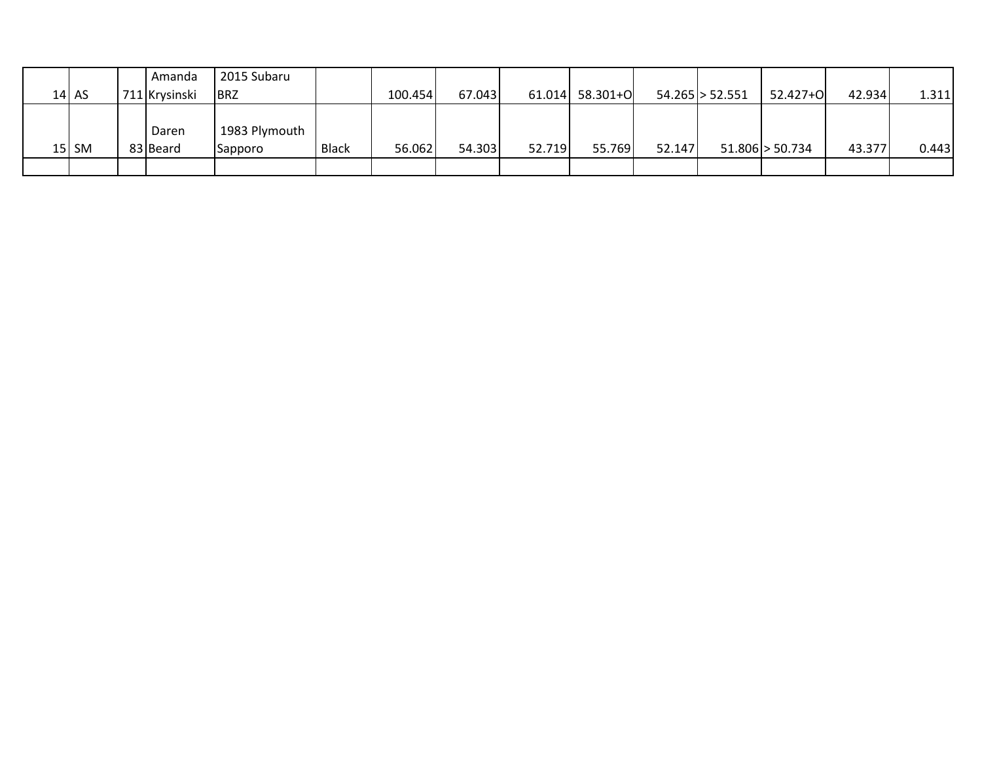|           | Amanda        | 2015 Subaru   |              |         |        |        |          |        |                      |                     |        |       |
|-----------|---------------|---------------|--------------|---------|--------|--------|----------|--------|----------------------|---------------------|--------|-------|
| $14$ AS   | 711 Krysinski | <b>BRZ</b>    |              | 100.454 | 67.043 | 61.014 | 58.301+0 |        | $54.265 \geq 52.551$ | 52.427+0            | 42.934 | 1.311 |
|           |               |               |              |         |        |        |          |        |                      |                     |        |       |
|           | Daren         | 1983 Plymouth |              |         |        |        |          |        |                      |                     |        |       |
| $15$   SM | 83 Beard      | Sapporo       | <b>Black</b> | 56.062  | 54.303 | 52.719 | 55.769   | 52.147 |                      | $51.806 \ge 50.734$ | 43.377 | 0.443 |
|           |               |               |              |         |        |        |          |        |                      |                     |        |       |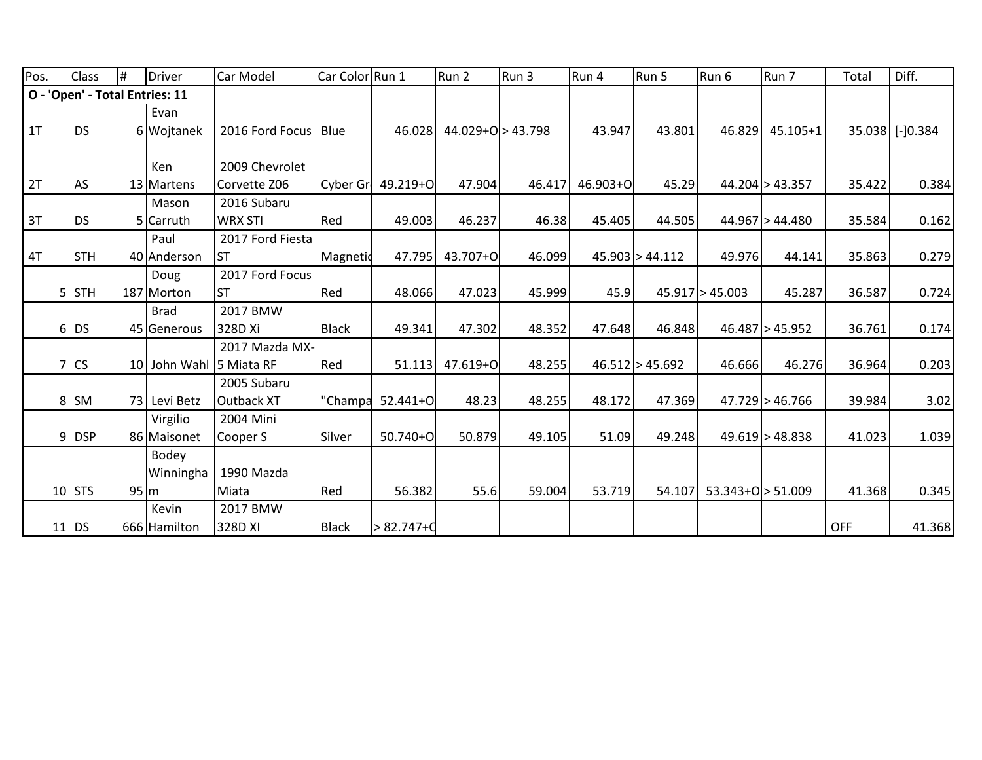| Pos. | Class                          | #                  | Driver       | Car Model        | Car Color Run 1 |                  | Run 2                 | Run 3  | Run 4    | Run 5               | Run 6               | Run 7             | Total  | Diff.           |
|------|--------------------------------|--------------------|--------------|------------------|-----------------|------------------|-----------------------|--------|----------|---------------------|---------------------|-------------------|--------|-----------------|
|      | O - 'Open' - Total Entries: 11 |                    |              |                  |                 |                  |                       |        |          |                     |                     |                   |        |                 |
|      |                                |                    | Evan         |                  |                 |                  |                       |        |          |                     |                     |                   |        |                 |
| 1T   | <b>DS</b>                      |                    | 6 Wojtanek   | 2016 Ford Focus  | Blue            | 46.028           | $44.029 + O > 43.798$ |        | 43.947   | 43.801              | 46.829              | $45.105 + 1$      |        | 35.038 [-]0.384 |
|      |                                |                    |              |                  |                 |                  |                       |        |          |                     |                     |                   |        |                 |
|      |                                |                    | Ken          | 2009 Chevrolet   |                 |                  |                       |        |          |                     |                     |                   |        |                 |
| 2T   | AS                             |                    | 13 Martens   | Corvette Z06     | Cyber Gr        | 49.219+0         | 47.904                | 46.417 | 46.903+0 | 45.29               |                     | $44.204$ > 43.357 | 35.422 | 0.384           |
|      |                                |                    | Mason        | 2016 Subaru      |                 |                  |                       |        |          |                     |                     |                   |        |                 |
| 3T   | <b>DS</b>                      |                    | 5 Carruth    | <b>WRX STI</b>   | Red             | 49.003           | 46.237                | 46.38  | 45.405   | 44.505              |                     | 44.967 > 44.480   | 35.584 | 0.162           |
|      |                                |                    | Paul         | 2017 Ford Fiesta |                 |                  |                       |        |          |                     |                     |                   |        |                 |
| 4T   | <b>STH</b>                     |                    | 40 Anderson  | <b>ST</b>        | Magnetid        | 47.795           | 43.707+0              | 46.099 |          | 45.903 > 44.112     | 49.976              | 44.141            | 35.863 | 0.279           |
|      |                                |                    | Doug         | 2017 Ford Focus  |                 |                  |                       |        |          |                     |                     |                   |        |                 |
|      | $5$ STH                        |                    | 187 Morton   | <b>ST</b>        | Red             | 48.066           | 47.023                | 45.999 | 45.9     |                     | $45.917$ > 45.003   | 45.287            | 36.587 | 0.724           |
|      |                                |                    | <b>Brad</b>  | 2017 BMW         |                 |                  |                       |        |          |                     |                     |                   |        |                 |
|      | $6$ DS                         |                    | 45 Generous  | 328D Xi          | <b>Black</b>    | 49.341           | 47.302                | 48.352 | 47.648   | 46.848              |                     | 46.487 > 45.952   | 36.761 | 0.174           |
|      |                                |                    |              | 2017 Mazda MX-   |                 |                  |                       |        |          |                     |                     |                   |        |                 |
| 7    | <b>CS</b>                      |                    | 10 John Wahl | 5 Miata RF       | Red             | 51.113           | 47.619+O              | 48.255 |          | $46.512 \ge 45.692$ | 46.666              | 46.276            | 36.964 | 0.203           |
|      |                                |                    |              | 2005 Subaru      |                 |                  |                       |        |          |                     |                     |                   |        |                 |
|      | 8 SM                           |                    | 73 Levi Betz | Outback XT       |                 | "Champa 52.441+O | 48.23                 | 48.255 | 48.172   | 47.369              |                     | 47.729 > 46.766   | 39.984 | 3.02            |
|      |                                |                    | Virgilio     | 2004 Mini        |                 |                  |                       |        |          |                     |                     |                   |        |                 |
|      | $9$ DSP                        |                    | 86 Maisonet  | Cooper S         | Silver          | 50.740+O         | 50.879                | 49.105 | 51.09    | 49.248              |                     | $49.619$ > 48.838 | 41.023 | 1.039           |
|      |                                |                    | Bodey        |                  |                 |                  |                       |        |          |                     |                     |                   |        |                 |
|      |                                |                    | Winningha    | 1990 Mazda       |                 |                  |                       |        |          |                     |                     |                   |        |                 |
|      | $10$ STS                       | $95 \, \mathrm{m}$ |              | Miata            | Red             | 56.382           | 55.6                  | 59.004 | 53.719   | 54.107              | $53.343+O > 51.009$ |                   | 41.368 | 0.345           |
|      |                                |                    | Kevin        | 2017 BMW         |                 |                  |                       |        |          |                     |                     |                   |        |                 |
|      | $11$ DS                        |                    | 666 Hamilton | 328D XI          | <b>Black</b>    | > 82.747+0       |                       |        |          |                     |                     |                   | OFF    | 41.368          |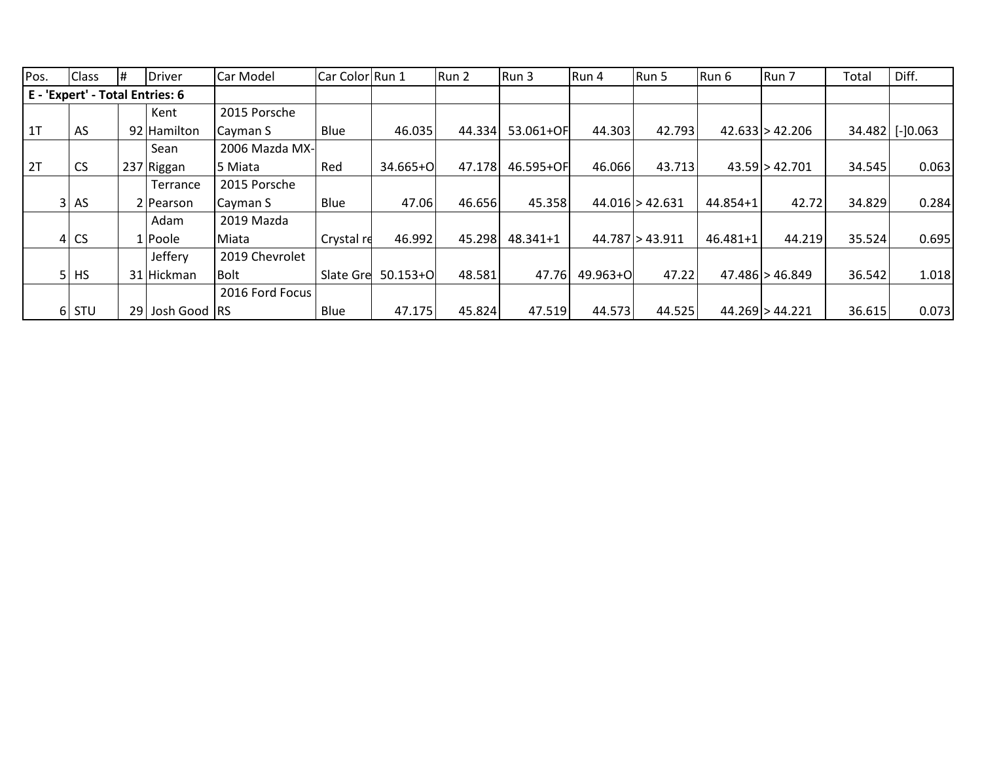| Pos.           | <b>Class</b>                | #<br>Driver                     | Car Model       | Car Color Run 1 |              | Run 2  | Run 3     | Run 4    | Run 5             | Run 6    | Run 7           | Total  | Diff.       |
|----------------|-----------------------------|---------------------------------|-----------------|-----------------|--------------|--------|-----------|----------|-------------------|----------|-----------------|--------|-------------|
|                |                             | E - 'Expert' - Total Entries: 6 |                 |                 |              |        |           |          |                   |          |                 |        |             |
|                |                             | Kent                            | 2015 Porsche    |                 |              |        |           |          |                   |          |                 |        |             |
| 1 <sub>T</sub> | AS                          | 92 Hamilton                     | Cayman S        | Blue            | 46.035       | 44.334 | 53.061+OF | 44.303   | 42.793            |          | 42.633 > 42.206 | 34.482 | $[-]0.063]$ |
|                |                             | Sean                            | 2006 Mazda MX-  |                 |              |        |           |          |                   |          |                 |        |             |
| 2T             | <b>CS</b>                   | 237 Riggan                      | 5 Miata         | Red             | 34.665+O     | 47.178 | 46.595+OF | 46.066   | 43.713            |          | 43.59 > 42.701  | 34.545 | 0.063       |
|                |                             | Terrance                        | 2015 Porsche    |                 |              |        |           |          |                   |          |                 |        |             |
|                | $32$ AS                     | 2 Pearson                       | Cayman S        | Blue            | 47.06        | 46.656 | 45.358    |          | $44.016$ > 42.631 | 44.854+1 | 42.72           | 34.829 | 0.284       |
|                |                             | Adam                            | 2019 Mazda      |                 |              |        |           |          |                   |          |                 |        |             |
|                | <b>CS</b><br>4 <sup>1</sup> | 1 Poole                         | Miata           | Crystal re      | 46.992       | 45.298 | 48.341+1  |          | 44.787 > 43.911   | 46.481+1 | 44.219          | 35.524 | 0.695       |
|                |                             | Jeffery                         | 2019 Chevrolet  |                 |              |        |           |          |                   |          |                 |        |             |
|                | 51<br><b>HS</b>             | 31 Hickman                      | <b>Bolt</b>     | Slate Gre       | $50.153 + O$ | 48.581 | 47.76     | 49.963+O | 47.22             |          | 47.486 > 46.849 | 36.542 | 1.018       |
|                |                             |                                 | 2016 Ford Focus |                 |              |        |           |          |                   |          |                 |        |             |
|                | $6$ STU                     | 29 Josh Good RS                 |                 | Blue            | 47.175       | 45.824 | 47.519    | 44.573   | 44.525            |          | 44.269 > 44.221 | 36.615 | 0.073       |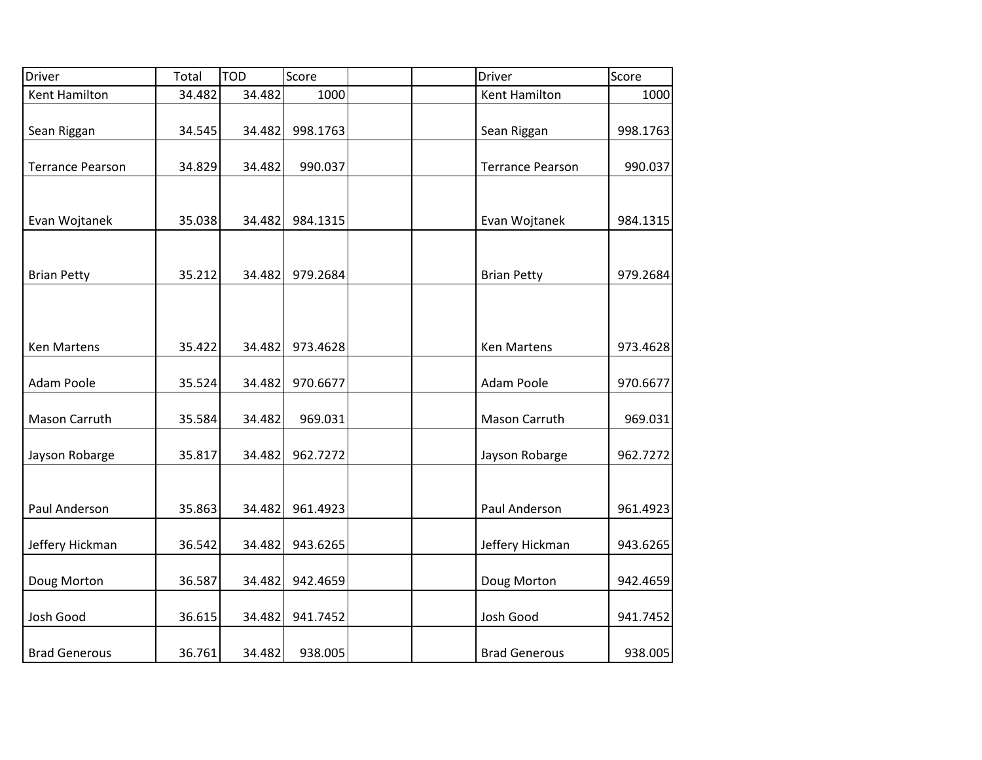| <b>Driver</b>           | Total  | <b>TOD</b> | Score    | <b>Driver</b>           | Score    |
|-------------------------|--------|------------|----------|-------------------------|----------|
| Kent Hamilton           | 34.482 | 34.482     | 1000     | <b>Kent Hamilton</b>    | 1000     |
| Sean Riggan             | 34.545 | 34.482     | 998.1763 | Sean Riggan             | 998.1763 |
| <b>Terrance Pearson</b> | 34.829 | 34.482     | 990.037  | <b>Terrance Pearson</b> | 990.037  |
| Evan Wojtanek           | 35.038 | 34.482     | 984.1315 | Evan Wojtanek           | 984.1315 |
| <b>Brian Petty</b>      | 35.212 | 34.482     | 979.2684 | <b>Brian Petty</b>      | 979.2684 |
|                         |        |            |          |                         |          |
| <b>Ken Martens</b>      | 35.422 | 34.482     | 973.4628 | <b>Ken Martens</b>      | 973.4628 |
| Adam Poole              | 35.524 | 34.482     | 970.6677 | Adam Poole              | 970.6677 |
| Mason Carruth           | 35.584 | 34.482     | 969.031  | Mason Carruth           | 969.031  |
| Jayson Robarge          | 35.817 | 34.482     | 962.7272 | Jayson Robarge          | 962.7272 |
| Paul Anderson           | 35.863 | 34.482     | 961.4923 | Paul Anderson           | 961.4923 |
| Jeffery Hickman         | 36.542 | 34.482     | 943.6265 | Jeffery Hickman         | 943.6265 |
| Doug Morton             | 36.587 | 34.482     | 942.4659 | Doug Morton             | 942.4659 |
| Josh Good               | 36.615 | 34.482     | 941.7452 | Josh Good               | 941.7452 |
| <b>Brad Generous</b>    | 36.761 | 34.482     | 938.005  | <b>Brad Generous</b>    | 938.005  |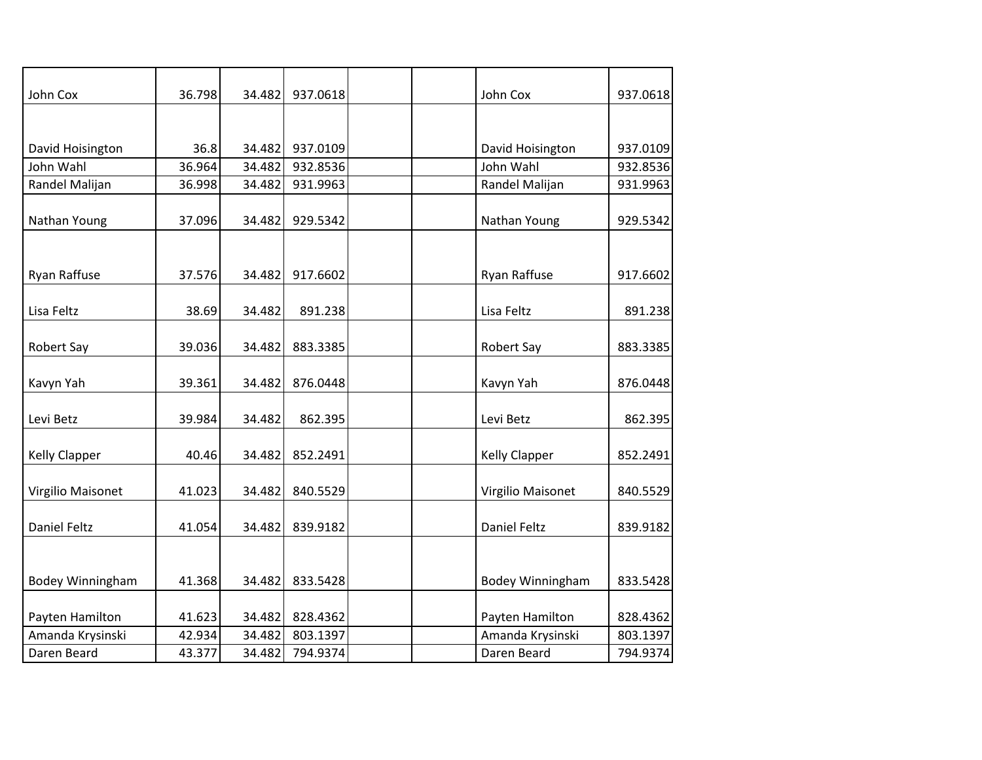| John Cox                | 36.798 | 34.482 | 937.0618 | John Cox                | 937.0618 |
|-------------------------|--------|--------|----------|-------------------------|----------|
|                         |        |        |          |                         |          |
|                         |        |        |          |                         |          |
| David Hoisington        | 36.8   | 34.482 | 937.0109 | David Hoisington        | 937.0109 |
| John Wahl               | 36.964 | 34.482 | 932.8536 | John Wahl               | 932.8536 |
| Randel Malijan          | 36.998 | 34.482 | 931.9963 | Randel Malijan          | 931.9963 |
|                         |        |        |          |                         |          |
| Nathan Young            | 37.096 | 34.482 | 929.5342 | Nathan Young            | 929.5342 |
|                         |        |        |          |                         |          |
|                         |        |        |          |                         |          |
| Ryan Raffuse            | 37.576 | 34.482 | 917.6602 | Ryan Raffuse            | 917.6602 |
|                         |        |        |          |                         |          |
| Lisa Feltz              | 38.69  | 34.482 | 891.238  | Lisa Feltz              | 891.238  |
|                         |        |        |          |                         |          |
| <b>Robert Say</b>       | 39.036 | 34.482 | 883.3385 | Robert Say              | 883.3385 |
|                         |        |        |          |                         |          |
| Kavyn Yah               | 39.361 | 34.482 | 876.0448 | Kavyn Yah               | 876.0448 |
|                         |        |        |          |                         |          |
| Levi Betz               | 39.984 | 34.482 | 862.395  | Levi Betz               | 862.395  |
|                         |        |        |          |                         |          |
| <b>Kelly Clapper</b>    | 40.46  | 34.482 | 852.2491 | <b>Kelly Clapper</b>    | 852.2491 |
|                         |        |        |          |                         |          |
| Virgilio Maisonet       | 41.023 | 34.482 | 840.5529 | Virgilio Maisonet       | 840.5529 |
|                         |        |        |          |                         |          |
| <b>Daniel Feltz</b>     | 41.054 | 34.482 | 839.9182 | <b>Daniel Feltz</b>     | 839.9182 |
|                         |        |        |          |                         |          |
|                         |        |        |          |                         |          |
| <b>Bodey Winningham</b> | 41.368 | 34.482 | 833.5428 | <b>Bodey Winningham</b> | 833.5428 |
|                         |        |        |          |                         |          |
| Payten Hamilton         | 41.623 | 34.482 | 828.4362 | Payten Hamilton         | 828.4362 |
| Amanda Krysinski        | 42.934 | 34.482 | 803.1397 | Amanda Krysinski        | 803.1397 |
| Daren Beard             | 43.377 | 34.482 | 794.9374 | Daren Beard             | 794.9374 |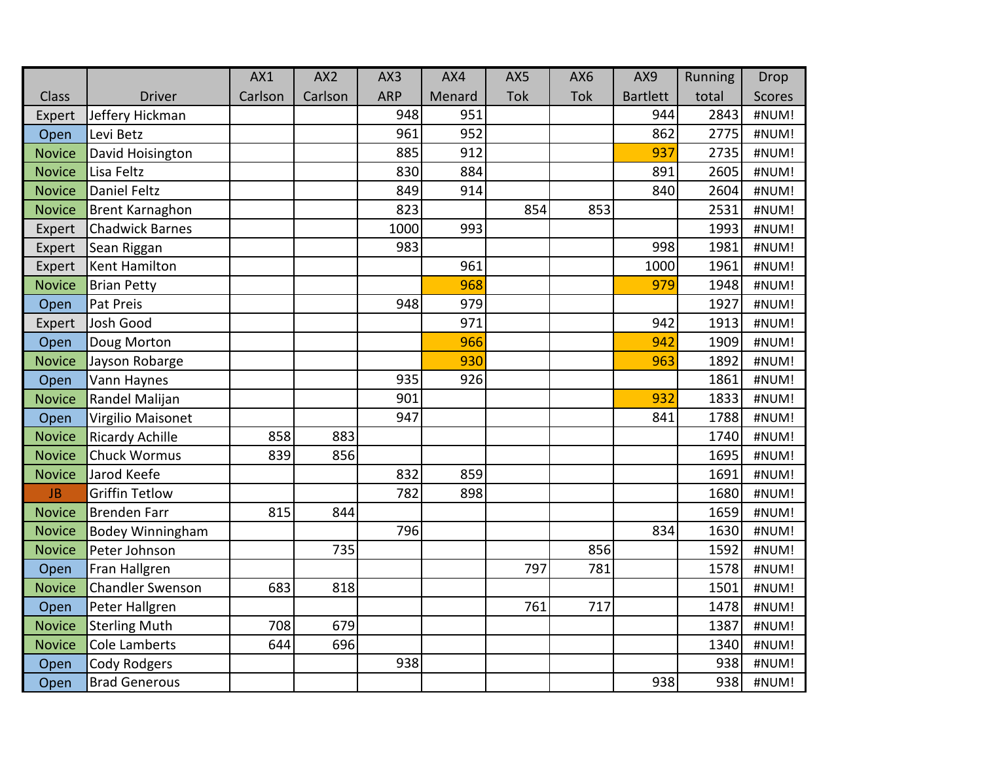|               |                         | AX1     | AX <sub>2</sub> | AX3        | AX4    | AX5 | AX6 | AX9             | Running | Drop          |
|---------------|-------------------------|---------|-----------------|------------|--------|-----|-----|-----------------|---------|---------------|
| <b>Class</b>  | <b>Driver</b>           | Carlson | Carlson         | <b>ARP</b> | Menard | Tok | Tok | <b>Bartlett</b> | total   | <b>Scores</b> |
| Expert        | Jeffery Hickman         |         |                 | 948        | 951    |     |     | 944             | 2843    | #NUM!         |
| Open          | Levi Betz               |         |                 | 961        | 952    |     |     | 862             | 2775    | #NUM!         |
| <b>Novice</b> | David Hoisington        |         |                 | 885        | 912    |     |     | 937             | 2735    | #NUM!         |
| <b>Novice</b> | Lisa Feltz              |         |                 | 830        | 884    |     |     | 891             | 2605    | #NUM!         |
| <b>Novice</b> | <b>Daniel Feltz</b>     |         |                 | 849        | 914    |     |     | 840             | 2604    | #NUM!         |
| <b>Novice</b> | Brent Karnaghon         |         |                 | 823        |        | 854 | 853 |                 | 2531    | #NUM!         |
| Expert        | <b>Chadwick Barnes</b>  |         |                 | 1000       | 993    |     |     |                 | 1993    | #NUM!         |
| Expert        | Sean Riggan             |         |                 | 983        |        |     |     | 998             | 1981    | #NUM!         |
| Expert        | <b>Kent Hamilton</b>    |         |                 |            | 961    |     |     | 1000            | 1961    | #NUM!         |
| <b>Novice</b> | <b>Brian Petty</b>      |         |                 |            | 968    |     |     | 979             | 1948    | #NUM!         |
| Open          | Pat Preis               |         |                 | 948        | 979    |     |     |                 | 1927    | #NUM!         |
| Expert        | Josh Good               |         |                 |            | 971    |     |     | 942             | 1913    | #NUM!         |
| Open          | Doug Morton             |         |                 |            | 966    |     |     | 942             | 1909    | #NUM!         |
| <b>Novice</b> | Jayson Robarge          |         |                 |            | 930    |     |     | 963             | 1892    | #NUM!         |
| Open          | Vann Haynes             |         |                 | 935        | 926    |     |     |                 | 1861    | #NUM!         |
| <b>Novice</b> | Randel Malijan          |         |                 | 901        |        |     |     | 932             | 1833    | #NUM!         |
| Open          | Virgilio Maisonet       |         |                 | 947        |        |     |     | 841             | 1788    | #NUM!         |
| <b>Novice</b> | <b>Ricardy Achille</b>  | 858     | 883             |            |        |     |     |                 | 1740    | #NUM!         |
| <b>Novice</b> | <b>Chuck Wormus</b>     | 839     | 856             |            |        |     |     |                 | 1695    | #NUM!         |
| <b>Novice</b> | Jarod Keefe             |         |                 | 832        | 859    |     |     |                 | 1691    | #NUM!         |
| JB            | <b>Griffin Tetlow</b>   |         |                 | 782        | 898    |     |     |                 | 1680    | #NUM!         |
| <b>Novice</b> | <b>Brenden Farr</b>     | 815     | 844             |            |        |     |     |                 | 1659    | #NUM!         |
| <b>Novice</b> | <b>Bodey Winningham</b> |         |                 | 796        |        |     |     | 834             | 1630    | #NUM!         |
| <b>Novice</b> | Peter Johnson           |         | 735             |            |        |     | 856 |                 | 1592    | #NUM!         |
| Open          | Fran Hallgren           |         |                 |            |        | 797 | 781 |                 | 1578    | #NUM!         |
| <b>Novice</b> | <b>Chandler Swenson</b> | 683     | 818             |            |        |     |     |                 | 1501    | #NUM!         |
| Open          | Peter Hallgren          |         |                 |            |        | 761 | 717 |                 | 1478    | #NUM!         |
| <b>Novice</b> | <b>Sterling Muth</b>    | 708     | 679             |            |        |     |     |                 | 1387    | #NUM!         |
| <b>Novice</b> | <b>Cole Lamberts</b>    | 644     | 696             |            |        |     |     |                 | 1340    | #NUM!         |
| Open          | Cody Rodgers            |         |                 | 938        |        |     |     |                 | 938     | #NUM!         |
| Open          | <b>Brad Generous</b>    |         |                 |            |        |     |     | 938             | 938     | #NUM!         |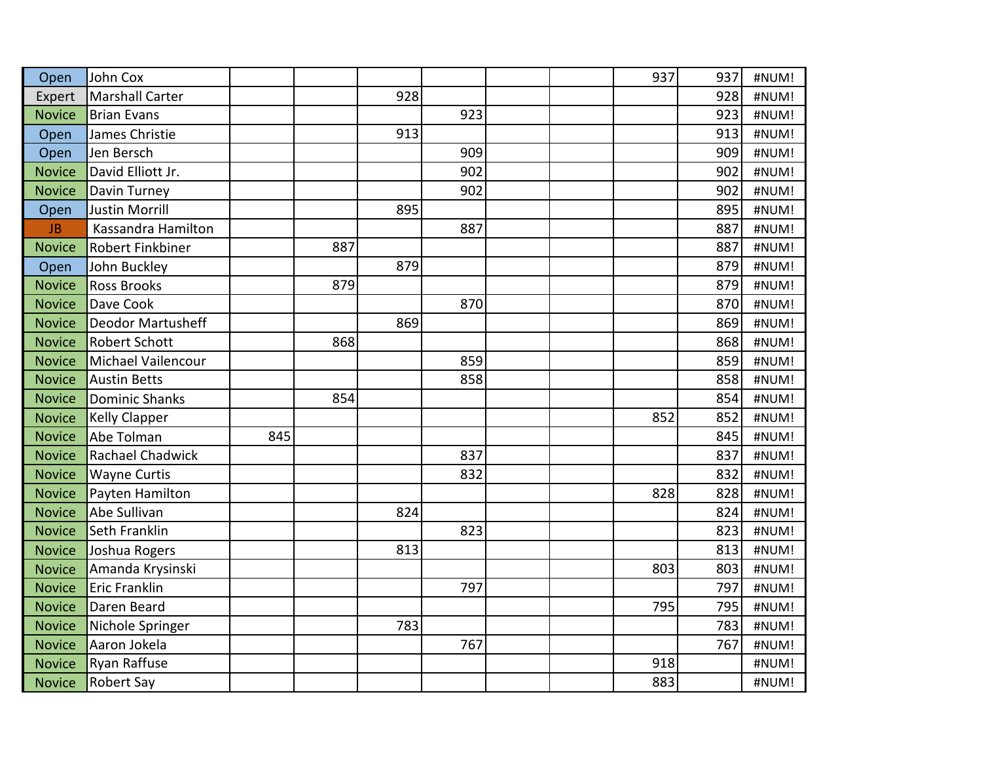| Open          | <b>John Cox</b>          |     |     |     |     |  | 937 | 937 | #NUM! |
|---------------|--------------------------|-----|-----|-----|-----|--|-----|-----|-------|
| Expert        | <b>Marshall Carter</b>   |     |     | 928 |     |  |     | 928 | #NUM! |
| <b>Novice</b> | <b>Brian Evans</b>       |     |     |     | 923 |  |     | 923 | #NUM! |
| Open          | James Christie           |     |     | 913 |     |  |     | 913 | #NUM! |
| Open          | Jen Bersch               |     |     |     | 909 |  |     | 909 | #NUM! |
| <b>Novice</b> | David Elliott Jr.        |     |     |     | 902 |  |     | 902 | #NUM! |
| <b>Novice</b> | Davin Turney             |     |     |     | 902 |  |     | 902 | #NUM! |
| Open          | <b>Justin Morrill</b>    |     |     | 895 |     |  |     | 895 | #NUM! |
| <b>JB</b>     | Kassandra Hamilton       |     |     |     | 887 |  |     | 887 | #NUM! |
| <b>Novice</b> | Robert Finkbiner         |     | 887 |     |     |  |     | 887 | #NUM! |
| Open          | John Buckley             |     |     | 879 |     |  |     | 879 | #NUM! |
| <b>Novice</b> | <b>Ross Brooks</b>       |     | 879 |     |     |  |     | 879 | #NUM! |
| <b>Novice</b> | Dave Cook                |     |     |     | 870 |  |     | 870 | #NUM! |
| <b>Novice</b> | <b>Deodor Martusheff</b> |     |     | 869 |     |  |     | 869 | #NUM! |
| <b>Novice</b> | <b>Robert Schott</b>     |     | 868 |     |     |  |     | 868 | #NUM! |
| <b>Novice</b> | Michael Vailencour       |     |     |     | 859 |  |     | 859 | #NUM! |
| <b>Novice</b> | <b>Austin Betts</b>      |     |     |     | 858 |  |     | 858 | #NUM! |
| <b>Novice</b> | <b>Dominic Shanks</b>    |     | 854 |     |     |  |     | 854 | #NUM! |
| <b>Novice</b> | <b>Kelly Clapper</b>     |     |     |     |     |  | 852 | 852 | #NUM! |
| <b>Novice</b> | Abe Tolman               | 845 |     |     |     |  |     | 845 | #NUM! |
| <b>Novice</b> | Rachael Chadwick         |     |     |     | 837 |  |     | 837 | #NUM! |
| <b>Novice</b> | <b>Wayne Curtis</b>      |     |     |     | 832 |  |     | 832 | #NUM! |
| <b>Novice</b> | Payten Hamilton          |     |     |     |     |  | 828 | 828 | #NUM! |
| <b>Novice</b> | Abe Sullivan             |     |     | 824 |     |  |     | 824 | #NUM! |
| <b>Novice</b> | Seth Franklin            |     |     |     | 823 |  |     | 823 | #NUM! |
| <b>Novice</b> | Joshua Rogers            |     |     | 813 |     |  |     | 813 | #NUM! |
| <b>Novice</b> | Amanda Krysinski         |     |     |     |     |  | 803 | 803 | #NUM! |
| <b>Novice</b> | Eric Franklin            |     |     |     | 797 |  |     | 797 | #NUM! |
| <b>Novice</b> | Daren Beard              |     |     |     |     |  | 795 | 795 | #NUM! |
| <b>Novice</b> | Nichole Springer         |     |     | 783 |     |  |     | 783 | #NUM! |
| <b>Novice</b> | Aaron Jokela             |     |     |     | 767 |  |     | 767 | #NUM! |
| <b>Novice</b> | Ryan Raffuse             |     |     |     |     |  | 918 |     | #NUM! |
| <b>Novice</b> | <b>Robert Say</b>        |     |     |     |     |  | 883 |     | #NUM! |